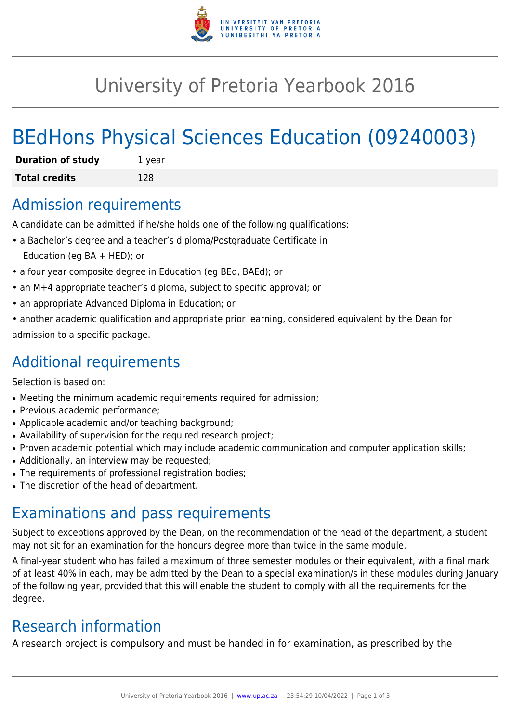

## University of Pretoria Yearbook 2016

# BEdHons Physical Sciences Education (09240003)

| <b>Duration of study</b> | 1 year |
|--------------------------|--------|
| <b>Total credits</b>     | 128    |

#### Admission requirements

A candidate can be admitted if he/she holds one of the following qualifications:

- a Bachelor's degree and a teacher's diploma/Postgraduate Certificate in Education (eg BA + HED); or
- a four year composite degree in Education (eg BEd, BAEd); or
- an M+4 appropriate teacher's diploma, subject to specific approval; or
- an appropriate Advanced Diploma in Education; or
- another academic qualification and appropriate prior learning, considered equivalent by the Dean for admission to a specific package.

### Additional requirements

Selection is based on:

- Meeting the minimum academic requirements required for admission;
- Previous academic performance:
- Applicable academic and/or teaching background;
- Availability of supervision for the required research project;
- Proven academic potential which may include academic communication and computer application skills;
- Additionally, an interview may be requested;
- The requirements of professional registration bodies;
- The discretion of the head of department.

### Examinations and pass requirements

Subject to exceptions approved by the Dean, on the recommendation of the head of the department, a student may not sit for an examination for the honours degree more than twice in the same module.

A final-year student who has failed a maximum of three semester modules or their equivalent, with a final mark of at least 40% in each, may be admitted by the Dean to a special examination/s in these modules during January of the following year, provided that this will enable the student to comply with all the requirements for the degree.

### Research information

A research project is compulsory and must be handed in for examination, as prescribed by the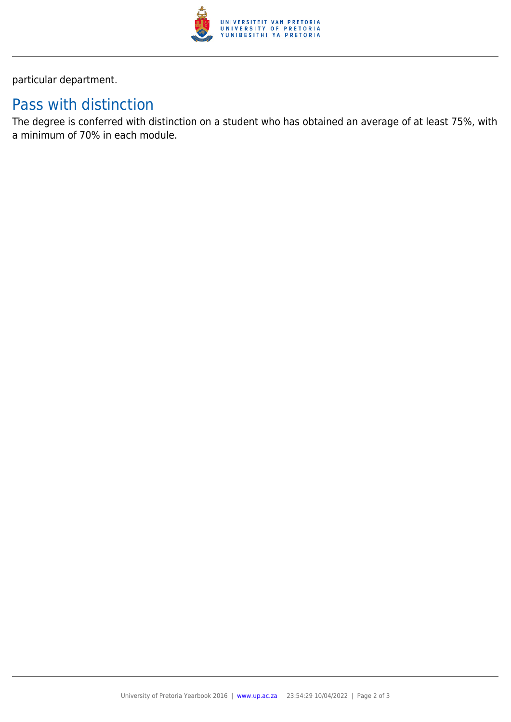

particular department.

### Pass with distinction

The degree is conferred with distinction on a student who has obtained an average of at least 75%, with a minimum of 70% in each module.